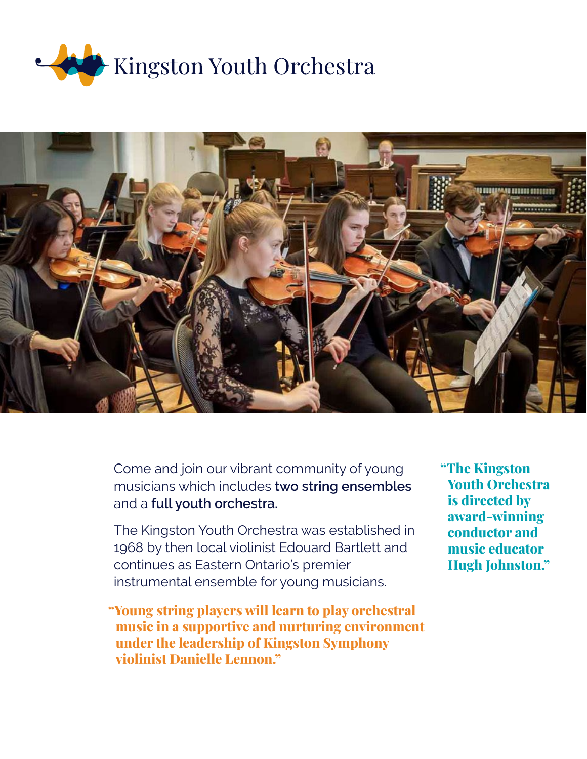



Come and join our vibrant community of young musicians which includes **two string ensembles** and a **full youth orchestra.**

The Kingston Youth Orchestra was established in 1968 by then local violinist Edouard Bartlett and continues as Eastern Ontario's premier instrumental ensemble for young musicians.

"Young string players will learn to play orchestral music in a supportive and nurturing environment under the leadership of Kingston Symphony violinist Danielle Lennon."

"The Kingston Youth Orchestra is directed by award-winning conductor and music educator Hugh Johnston."